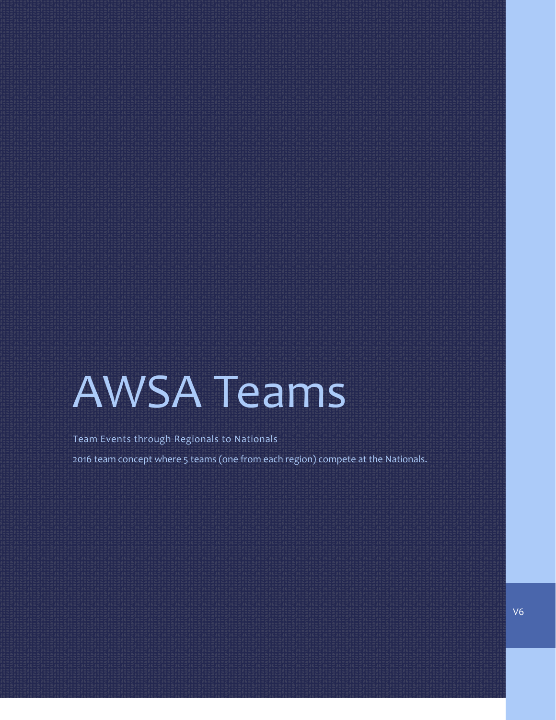# AWSA Teams

Team Events through Regionals to Nationals

2016 team concept where 5 teams (one from each region) compete at the Nationals.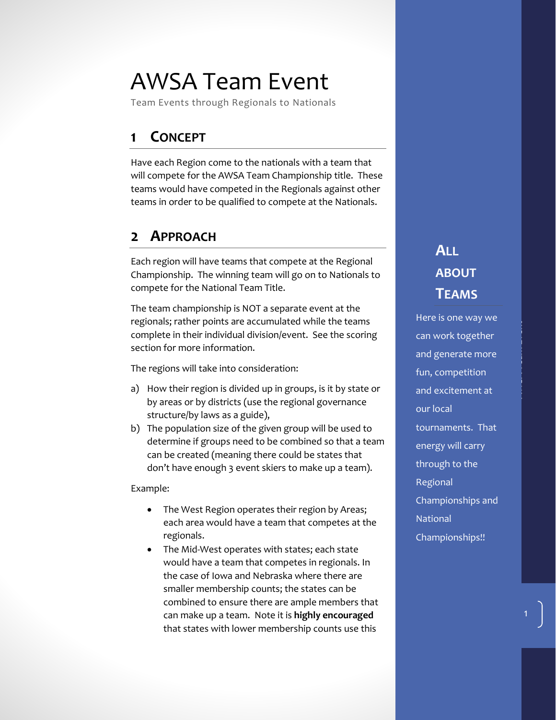## AWSA Team Event

Team Events through Regionals to Nationals

#### **1 CONCEPT**

Have each Region come to the nationals with a team that will compete for the AWSA Team Championship title. These teams would have competed in the Regionals against other teams in order to be qualified to compete at the Nationals.

#### **2 APPROACH**

Each region will have teams that compete at the Regional Championship. The winning team will go on to Nationals to compete for the National Team Title.

The team championship is NOT a separate event at the regionals; rather points are accumulated while the teams complete in their individual division/event. See the scoring section for more information.

The regions will take into consideration:

- a) How their region is divided up in groups, is it by state or by areas or by districts (use the regional governance structure/by laws as a guide),
- b) The population size of the given group will be used to determine if groups need to be combined so that a team can be created (meaning there could be states that don't have enough 3 event skiers to make up a team).

Example:

- The West Region operates their region by Areas; each area would have a team that competes at the regionals.
- The Mid-West operates with states; each state would have a team that competes in regionals. In the case of Iowa and Nebraska where there are smaller membership counts; the states can be combined to ensure there are ample members that can make up a team. Note it is **highly encouraged** that states with lower membership counts use this

## **ALL ABOUT TEAMS**

Here is one way we can work together and generate more fun, competition and excitement at our local tournaments. That energy will carry through to the Regional Championships and **National** Championships!!

1

AWSA Team Event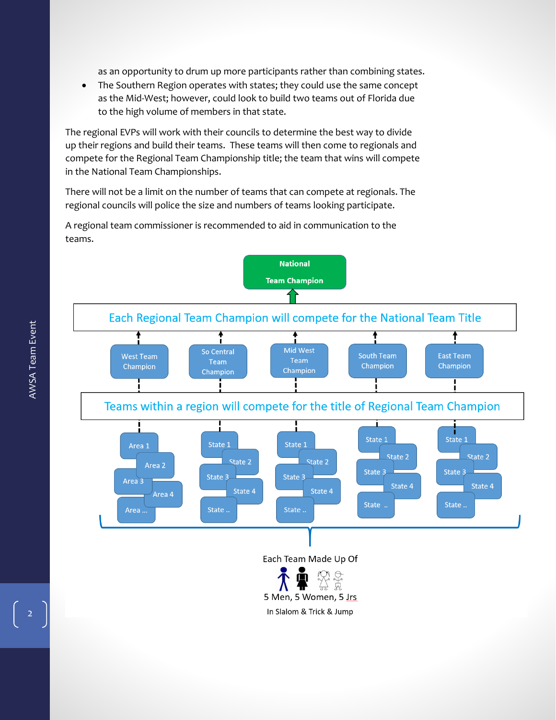as an opportunity to drum up more participants rather than combining states.

• The Southern Region operates with states; they could use the same concept as the Mid-West; however, could look to build two teams out of Florida due to the high volume of members in that state.

The regional EVPs will work with their councils to determine the best way to divide up their regions and build their teams. These teams will then come to regionals and compete for the Regional Team Championship title; the team that wins will compete in the National Team Championships.

There will not be a limit on the number of teams that can compete at regionals. The regional councils will police the size and numbers of teams looking participate.

A regional team commissioner is recommended to aid in communication to the teams.



**National** 

Each Team Made Up Of



2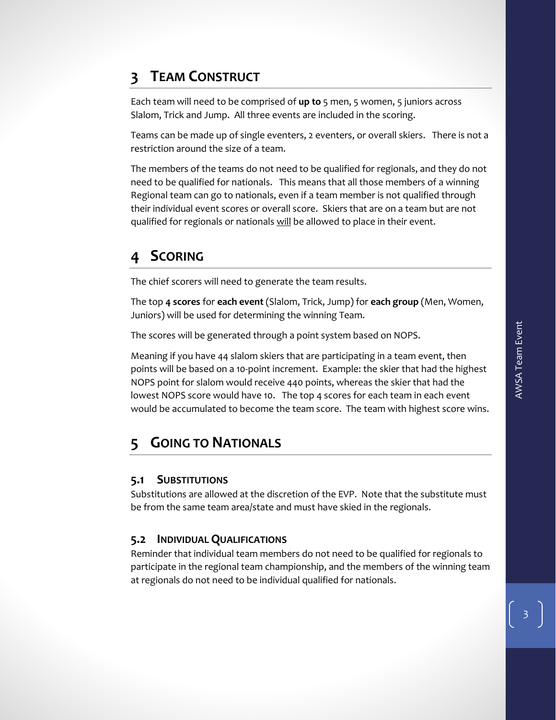#### **3 TEAM CONSTRUCT**

Each team will need to be comprised of **up to** 5 men, 5 women, 5 juniors across Slalom, Trick and Jump. All three events are included in the scoring.

Teams can be made up of single eventers, 2 eventers, or overall skiers. There is not a restriction around the size of a team.

The members of the teams do not need to be qualified for regionals, and they do not need to be qualified for nationals. This means that all those members of a winning Regional team can go to nationals, even if a team member is not qualified through their individual event scores or overall score. Skiers that are on a team but are not qualified for regionals or nationals will be allowed to place in their event.

#### **4 SCORING**

The chief scorers will need to generate the team results.

The top **4 scores** for **each event** (Slalom, Trick, Jump) for **each group** (Men, Women, Juniors) will be used for determining the winning Team.

The scores will be generated through a point system based on NOPS.

Meaning if you have 44 slalom skiers that are participating in a team event, then points will be based on a 10-point increment. Example: the skier that had the highest NOPS point for slalom would receive 440 points, whereas the skier that had the lowest NOPS score would have 10. The top 4 scores for each team in each event would be accumulated to become the team score. The team with highest score wins.

#### **5 GOING TO NATIONALS**

#### **5.1 SUBSTITUTIONS**

Substitutions are allowed at the discretion of the EVP. Note that the substitute must be from the same team area/state and must have skied in the regionals.

#### **5.2 INDIVIDUAL QUALIFICATIONS**

Reminder that individual team members do not need to be qualified for regionals to participate in the regional team championship, and the members of the winning team at regionals do not need to be individual qualified for nationals.